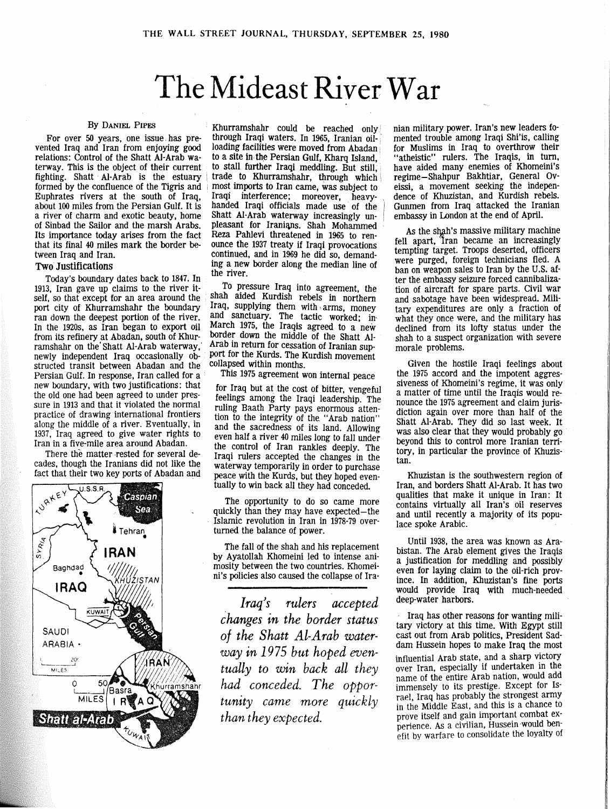## The Mideast River War

vented Iraq and Iran from enjoying good loading facilities were moved from Abadan relations: Control of the Shatt Al-Arab wa- to a site in the Persian Gulf, Kharq Island, relations: Control of the Shatt Al-Arab wa-<br>terway. This is the object of their current to stall further Iraqi meddling. But still. terway. This is the object of their current to stall further Iraqi meddling. But still, fighting. Shatt Al-Arab is the estuary  $\vert$  trade to Khurramshahr, through which fighting. Shatt  $AI-Arab$  is the estuary  $\vert$  trade to Khurramshahr, through which formed by the confluence of the Tigris and most imports to Iran came, was subject to formed by the confluence of the Tigris and  $|$  most imports to Iran came, was subject to Euphrates rivers at the south of Iraq, Iraqi interference; moreover, heavy-Euphrates rivers at the south of Iraq, Iraqi interference; moreover, heavyabout 100 miles from the Persian Gulf. It is handed Iraqi officials made use of the a river of charm and exotic beauty, home Shatt Al-Arab waterway increasingly unof Sinbad the Sailor and the marsh Arabs. pleasant for Iranians. Shah Mohammed Its importance today arises from the fact Reza Pahlevi threatened in 1965 to ren-<br>that its final 40 miles mark the border be-<br>quice the 1937 treaty if Iraqi provocations that its final 40 miles mark the border be-<br>continued, and in 1969 he did so, demand-<br>continued, and in 1969 he did so, demand-

Today's boundary dates back to 1847. In 1913, Iran gave up claims to the river it-1913, Iran gave up claims to the river it-<br>self, so that except for an area around the shah aided Kurdish rebels in northern self, so that except for an area around the shah aided Kurdish rebels in northern self, so that except for an area around the shah aided Kurdish rebels in northern port city of Khurramshahr the boundary port city of Khurramshahr the boundary Iraq, supplying them with arms, money ran down the deepest portion of the river. and sanctuary. The tactic worked; in Figure 1. Solution of the river. and sanctuary. The tactic worked; in<br>In the 1920s, as Iran began to export oil March 1975, the Iraqis agreed to a new from its refinery at Abadan, south of Khur-<br>ramshahr on the Shatt Al-Arab waterway. Arab in return for cessation of Iranian supramshahr on the Shatt Al-Arab waterway, newly independent Iraq occasionally obstructed transit between Abadan and the collapsed within months.<br>Persian Gulf. In response, Iran called for a This 1975 agreement won internal peace Persian Gulf. In response, Iran called for a new boundary, with two justifications: that for Iraq but at the cost of bitter, vengeful<br>the old one had been agreed to under pres-<br>feelings among the Iraqi leadership. The the old one had been agreed to under pres-<br>sure in 1913 and that it violated the normal ruling Baath Party pays enormous atten sure in 1913 and that it violated the normal ruling Baath Party pays enormous atten-<br>practice of drawing international frontiers in the integrity of the "Areb nation" practice of drawing international frontiers tion to the integrity of the "Arab nation"<br>along the middle of a river. Eventually, in and the sacredness of its land. Allowing along the middle of a river. Eventually, in and the sacredness of its land. Allowing 1937, Iraq agreed to give water rights to even half a river 40 miles long to fall under 1937, Iraq agreed to give water rights to even half a river 40 miles long to fall under

There the matter rested for several de-<br>cades, though the Iranians did not like the waterway temporarily in order to purchase



By DANIEL PIPES Khurramshahr could be reached only For over 50 years, one issue has pre-<br>through Iraqi waters. In 1965, Iranian oilcontinued, and in 1969 he did so, demand-Two Justifications ing a new border along the median line of the river.

> March 1975, the Iraqis agreed to a new border down the middle of the Shatt Alport for the Kurds. The Kurdish movement collapsed within months.

In in a five-mile area around Abadan. the control of Iran rankles deeply. The There the matter rested for several decades, though the Iranians did not like the waterway temporarily in order to purchase<br>fact that their two key ports of Abadan and peace with the Kurds, but they hoped even. peace with the Kurds, but they hoped eventually to win back all they had conceded.

> The opportunity to do so came more<br>quickly than they may have expected—the Islamic revolution in Iran in 1978-79 overturned the balance of power.

> The fall of the shah and his replacement by Ayatollah Khomeini led to intense animosity between the two countries. Khomeini's policies also caused the collapse of Ira-

*Iraq's rulers accepted changes in the border status of the Shatt Al-Arab waterway in 1975 but hoped eventually to win back all they had conceded. The opportunity carne more quickly than they expected.* 

nian military power. Iran's new leaders fomented trouble among Iraqi Shi'is, calling for Muslims in Iraq to overthrow their "atheistic" rulers. The Iraqis, in turn, have aided many enemies of Khomeini's regime-Shahpur Bakhtiar, General Oveissi, a movement seeking the independence of Khuzistan, and Kurdish rebels. Gunmen from Iraq attacked the Iranian embassy in London at the end of April.

As the shah's massive military machine fell apart, Iran became an increasingly tempting target. Troops deserted, officers were purged, foreign technicians fled. A ban on weapon sales to Iran by the U.S. after the embassy seizure forced cannibalization of aircraft for spare parts. Civil war and sabotage have been widespread. Military expenditures are only a fraction of what they once were, and the military has declined from its lofty status under the shah to a suspect organization with severe morale problems.

Given the hostile Iraqi feelings about the 1975 accord and the impotent aggressiveness of Khomeini's regime, it was only a matter of time until the Iraqis would renounce the 1975 agreement and claim jurisdiction again over more than half of the Shatt Al-ATab. They did so last week. It was also clear that they would probably go beyond this to control more Iranian territory, in particular the province of Khuzistan.

Khuzistan is the southwestern region of Iran, and borders Shatt AI-Arab. It has two qualities that make it unique in Iran: It contains virtually all Iran's oil reserves and until recently a majority of its populace spoke Arabic.

Until 1938, the area was known as Arabistan. The Arab element gives the Iraqis a justification for meddling and possibly even for laying claim to the oil-rich province. In addition, Khuzistan's fine ports would provide Iraq with much-needed deep-water harbors.

Iraq has other reasons for wanting military victory at this time. With Egypt still cast out from Arab politics, President Saddam Hussein hopes to make Iraq the most influential Arab state, and a sharp victory over Iran, especially if undertaken in the name of the entire Arab nation, would add immensely to its prestige. Except for Is· rael, Iraq has probably the strongest army in the Middle East, and this is a chance to prove itself and gain important combat experience. *As* a civilian, Hussein would benefit by warfare to consolidate the loyalty of